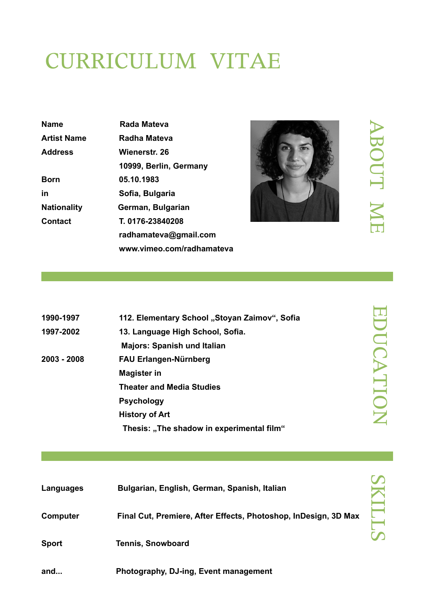# CURRICULUM VITAE

| <b>Name</b>        | Rada Mateva               |
|--------------------|---------------------------|
| <b>Artist Name</b> | Radha Mateva              |
| <b>Address</b>     | Wienerstr. 26             |
|                    | 10999, Berlin, Germany    |
| <b>Born</b>        | 05.10.1983                |
| in                 | Sofia, Bulgaria           |
| <b>Nationality</b> | German, Bulgarian         |
| Contact            | T. 0176-23840208          |
|                    | radhamateva@gmail.com     |
|                    | www.vimeo.com/radhamateva |



## $\blacktriangleright$  $\overline{\bf 0}$ O  $\Box$  $\mathbf{\mathbf{\mathbf{\mathbf{\mathbf{\mathbf{\mathbf{+}}}}}}}$ M E

| 1990-1997   | 112. Elementary School "Stoyan Zaimov", Sofia |
|-------------|-----------------------------------------------|
| 1997-2002   | 13. Language High School, Sofia.              |
|             | <b>Majors: Spanish und Italian</b>            |
| 2003 - 2008 | <b>FAU Erlangen-Nürnberg</b>                  |
|             | <b>Magister in</b>                            |
|             | <b>Theater and Media Studies</b>              |
|             | <b>Psychology</b>                             |
|             | <b>History of Art</b>                         |
|             | Thesis: "The shadow in experimental film"     |
|             |                                               |

| Languages       | Bulgarian, English, German, Spanish, Italian                    |  |
|-----------------|-----------------------------------------------------------------|--|
| <b>Computer</b> | Final Cut, Premiere, After Effects, Photoshop, InDesign, 3D Max |  |
| <b>Sport</b>    | <b>Tennis, Snowboard</b>                                        |  |
| and             | Photography, DJ-ing, Event management                           |  |

E D  $\Box$  $\bigcap$  $\blacktriangleright$  $\Box$  $\blacksquare$ O  $\mathbf{Z}% _{T}=\mathbf{Z}_{T}^{T}$